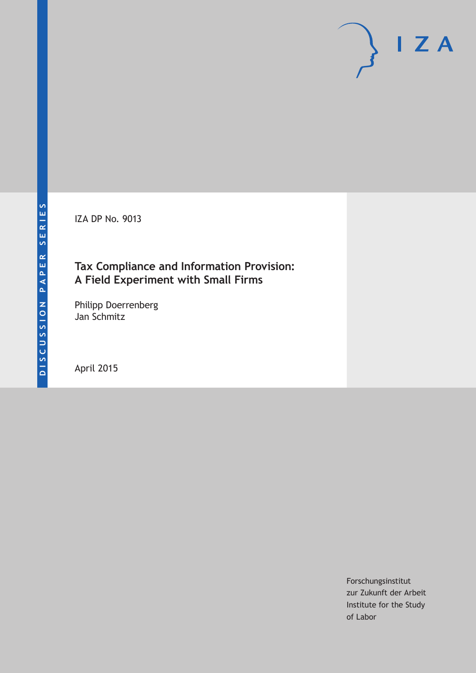IZA DP No. 9013

## **Tax Compliance and Information Provision: A Field Experiment with Small Firms**

Philipp Doerrenberg Jan Schmitz

April 2015

Forschungsinstitut zur Zukunft der Arbeit Institute for the Study of Labor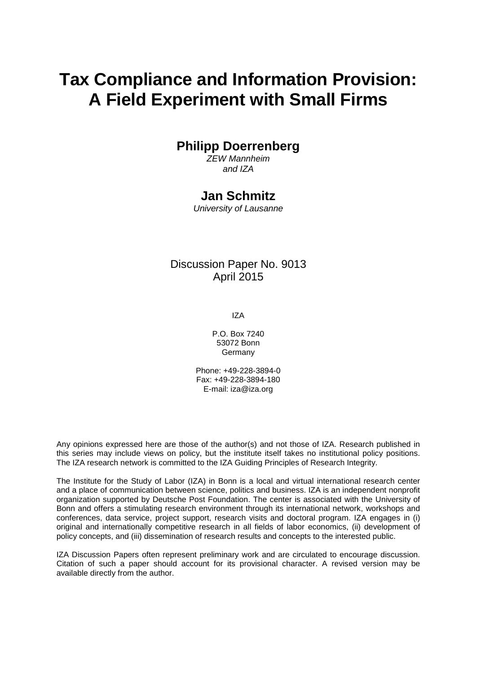# **Tax Compliance and Information Provision: A Field Experiment with Small Firms**

### **Philipp Doerrenberg**

*ZEW Mannheim and IZA*

### **Jan Schmitz**

*University of Lausanne*

### Discussion Paper No. 9013 April 2015

IZA

P.O. Box 7240 53072 Bonn Germany

Phone: +49-228-3894-0 Fax: +49-228-3894-180 E-mail: iza@iza.org

Any opinions expressed here are those of the author(s) and not those of IZA. Research published in this series may include views on policy, but the institute itself takes no institutional policy positions. The IZA research network is committed to the IZA Guiding Principles of Research Integrity.

The Institute for the Study of Labor (IZA) in Bonn is a local and virtual international research center and a place of communication between science, politics and business. IZA is an independent nonprofit organization supported by Deutsche Post Foundation. The center is associated with the University of Bonn and offers a stimulating research environment through its international network, workshops and conferences, data service, project support, research visits and doctoral program. IZA engages in (i) original and internationally competitive research in all fields of labor economics, (ii) development of policy concepts, and (iii) dissemination of research results and concepts to the interested public.

<span id="page-1-0"></span>IZA Discussion Papers often represent preliminary work and are circulated to encourage discussion. Citation of such a paper should account for its provisional character. A revised version may be available directly from the author.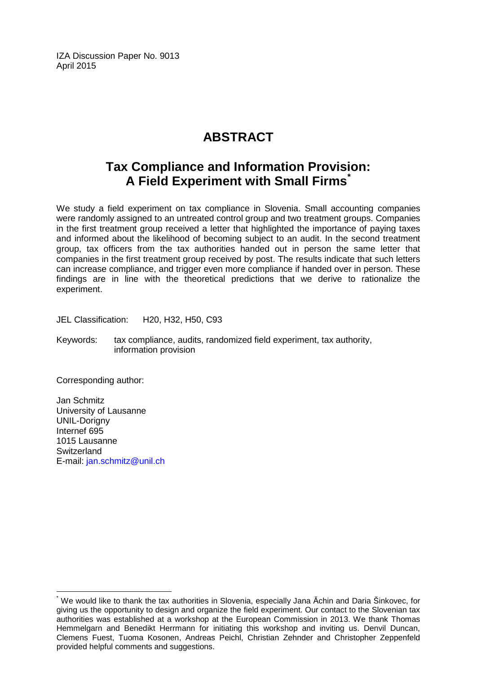IZA Discussion Paper No. 9013 April 2015

# **ABSTRACT**

# **Tax Compliance and Information Provision: A Field Experiment with Small Firms[\\*](#page-1-0)**

We study a field experiment on tax compliance in Slovenia. Small accounting companies were randomly assigned to an untreated control group and two treatment groups. Companies in the first treatment group received a letter that highlighted the importance of paying taxes and informed about the likelihood of becoming subject to an audit. In the second treatment group, tax officers from the tax authorities handed out in person the same letter that companies in the first treatment group received by post. The results indicate that such letters can increase compliance, and trigger even more compliance if handed over in person. These findings are in line with the theoretical predictions that we derive to rationalize the experiment.

JEL Classification: H20, H32, H50, C93

Keywords: tax compliance, audits, randomized field experiment, tax authority, information provision

Corresponding author:

Jan Schmitz University of Lausanne UNIL-Dorigny Internef 695 1015 Lausanne **Switzerland** E-mail: [jan.schmitz@unil.ch](mailto:jan.schmitz@unil.ch)

We would like to thank the tax authorities in Slovenia, especially Jana Achin and Daria Šinkovec, for giving us the opportunity to design and organize the field experiment. Our contact to the Slovenian tax authorities was established at a workshop at the European Commission in 2013. We thank Thomas Hemmelgarn and Benedikt Herrmann for initiating this workshop and inviting us. Denvil Duncan, Clemens Fuest, Tuoma Kosonen, Andreas Peichl, Christian Zehnder and Christopher Zeppenfeld provided helpful comments and suggestions.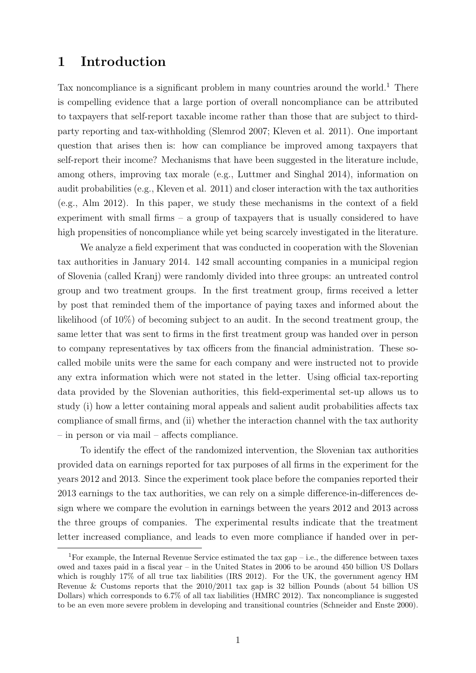### 1 Introduction

Tax noncompliance is a significant problem in many countries around the world.<sup>[1](#page-3-0)</sup> There is compelling evidence that a large portion of overall noncompliance can be attributed to taxpayers that self-report taxable income rather than those that are subject to thirdparty reporting and tax-withholding [\(Slemrod 2007;](#page-21-0) [Kleven et al. 2011\)](#page-20-0). One important question that arises then is: how can compliance be improved among taxpayers that self-report their income? Mechanisms that have been suggested in the literature include, among others, improving tax morale (e.g., [Luttmer and Singhal 2014\)](#page-20-1), information on audit probabilities (e.g., [Kleven et al. 2011\)](#page-20-0) and closer interaction with the tax authorities (e.g., [Alm 2012\)](#page-18-0). In this paper, we study these mechanisms in the context of a field experiment with small firms – a group of taxpayers that is usually considered to have high propensities of noncompliance while yet being scarcely investigated in the literature.

We analyze a field experiment that was conducted in cooperation with the Slovenian tax authorities in January 2014. 142 small accounting companies in a municipal region of Slovenia (called Kranj) were randomly divided into three groups: an untreated control group and two treatment groups. In the first treatment group, firms received a letter by post that reminded them of the importance of paying taxes and informed about the likelihood (of 10%) of becoming subject to an audit. In the second treatment group, the same letter that was sent to firms in the first treatment group was handed over in person to company representatives by tax officers from the financial administration. These socalled mobile units were the same for each company and were instructed not to provide any extra information which were not stated in the letter. Using official tax-reporting data provided by the Slovenian authorities, this field-experimental set-up allows us to study (i) how a letter containing moral appeals and salient audit probabilities affects tax compliance of small firms, and (ii) whether the interaction channel with the tax authority – in person or via mail – affects compliance.

To identify the effect of the randomized intervention, the Slovenian tax authorities provided data on earnings reported for tax purposes of all firms in the experiment for the years 2012 and 2013. Since the experiment took place before the companies reported their 2013 earnings to the tax authorities, we can rely on a simple difference-in-differences design where we compare the evolution in earnings between the years 2012 and 2013 across the three groups of companies. The experimental results indicate that the treatment letter increased compliance, and leads to even more compliance if handed over in per-

<span id="page-3-0"></span><sup>&</sup>lt;sup>1</sup>For example, the Internal Revenue Service estimated the tax gap  $-$  i.e., the difference between taxes owed and taxes paid in a fiscal year – in the United States in 2006 to be around 450 billion US Dollars which is roughly 17% of all true tax liabilities [\(IRS 2012\)](#page-20-2). For the UK, the government agency HM Revenue & Customs reports that the 2010/2011 tax gap is 32 billion Pounds (about 54 billion US Dollars) which corresponds to 6.7% of all tax liabilities [\(HMRC 2012\)](#page-20-3). Tax noncompliance is suggested to be an even more severe problem in developing and transitional countries [\(Schneider and Enste 2000\)](#page-21-1).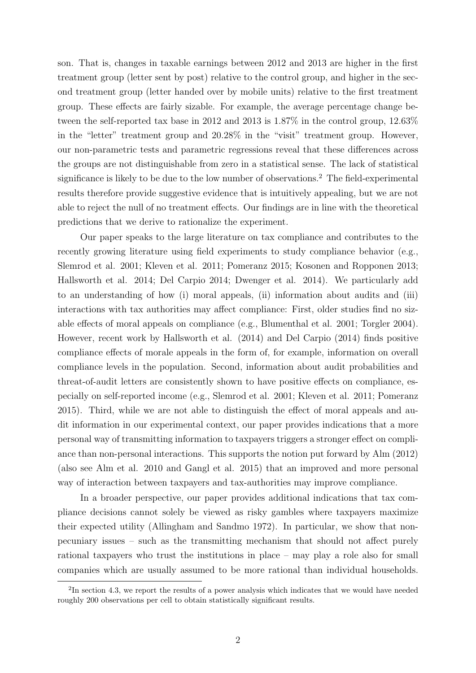son. That is, changes in taxable earnings between 2012 and 2013 are higher in the first treatment group (letter sent by post) relative to the control group, and higher in the second treatment group (letter handed over by mobile units) relative to the first treatment group. These effects are fairly sizable. For example, the average percentage change between the self-reported tax base in 2012 and 2013 is 1.87% in the control group, 12.63% in the "letter" treatment group and 20.28% in the "visit" treatment group. However, our non-parametric tests and parametric regressions reveal that these differences across the groups are not distinguishable from zero in a statistical sense. The lack of statistical significance is likely to be due to the low number of observations.[2](#page-4-0) The field-experimental results therefore provide suggestive evidence that is intuitively appealing, but we are not able to reject the null of no treatment effects. Our findings are in line with the theoretical predictions that we derive to rationalize the experiment.

Our paper speaks to the large literature on tax compliance and contributes to the recently growing literature using field experiments to study compliance behavior (e.g., [Slemrod et al. 2001;](#page-21-2) [Kleven et al. 2011;](#page-20-0) [Pomeranz 2015;](#page-21-3) [Kosonen and Ropponen 2013;](#page-20-4) [Hallsworth et al. 2014;](#page-20-5) [Del Carpio 2014;](#page-19-0) [Dwenger et al. 2014\)](#page-19-1). We particularly add to an understanding of how (i) moral appeals, (ii) information about audits and (iii) interactions with tax authorities may affect compliance: First, older studies find no sizable effects of moral appeals on compliance (e.g., [Blumenthal et al. 2001;](#page-19-2) [Torgler 2004\)](#page-21-4). However, recent work by [Hallsworth et al. \(2014\)](#page-20-5) and [Del Carpio \(2014\)](#page-19-0) finds positive compliance effects of morale appeals in the form of, for example, information on overall compliance levels in the population. Second, information about audit probabilities and threat-of-audit letters are consistently shown to have positive effects on compliance, especially on self-reported income (e.g., [Slemrod et al. 2001;](#page-21-2) [Kleven et al. 2011;](#page-20-0) [Pomeranz](#page-21-3) [2015\)](#page-21-3). Third, while we are not able to distinguish the effect of moral appeals and audit information in our experimental context, our paper provides indications that a more personal way of transmitting information to taxpayers triggers a stronger effect on compliance than non-personal interactions. This supports the notion put forward by [Alm \(2012\)](#page-18-0) (also see [Alm et al. 2010](#page-19-3) and [Gangl et al. 2015\)](#page-20-6) that an improved and more personal way of interaction between taxpayers and tax-authorities may improve compliance.

In a broader perspective, our paper provides additional indications that tax compliance decisions cannot solely be viewed as risky gambles where taxpayers maximize their expected utility [\(Allingham and Sandmo 1972\)](#page-18-1). In particular, we show that nonpecuniary issues – such as the transmitting mechanism that should not affect purely rational taxpayers who trust the institutions in place – may play a role also for small companies which are usually assumed to be more rational than individual households.

<span id="page-4-0"></span> ${}^{2}$ In section [4.3,](#page-16-0) we report the results of a power analysis which indicates that we would have needed roughly 200 observations per cell to obtain statistically significant results.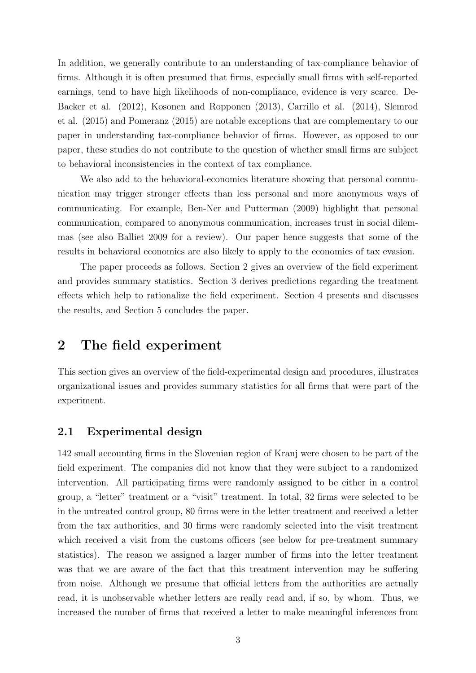In addition, we generally contribute to an understanding of tax-compliance behavior of firms. Although it is often presumed that firms, especially small firms with self-reported earnings, tend to have high likelihoods of non-compliance, evidence is very scarce. [De-](#page-19-4)[Backer et al. \(2012\),](#page-19-4) [Kosonen and Ropponen \(2013\),](#page-20-4) [Carrillo et al. \(2014\),](#page-19-5) [Slemrod](#page-21-5) [et al. \(2015\)](#page-21-5) and [Pomeranz \(2015\)](#page-21-3) are notable exceptions that are complementary to our paper in understanding tax-compliance behavior of firms. However, as opposed to our paper, these studies do not contribute to the question of whether small firms are subject to behavioral inconsistencies in the context of tax compliance.

We also add to the behavioral-economics literature showing that personal communication may trigger stronger effects than less personal and more anonymous ways of communicating. For example, [Ben-Ner and Putterman \(2009\)](#page-19-6) highlight that personal communication, compared to anonymous communication, increases trust in social dilemmas (see also [Balliet 2009](#page-19-7) for a review). Our paper hence suggests that some of the results in behavioral economics are also likely to apply to the economics of tax evasion.

The paper proceeds as follows. Section [2](#page-5-0) gives an overview of the field experiment and provides summary statistics. Section [3](#page-9-0) derives predictions regarding the treatment effects which help to rationalize the field experiment. Section [4](#page-13-0) presents and discusses the results, and Section [5](#page-18-2) concludes the paper.

### <span id="page-5-0"></span>2 The field experiment

This section gives an overview of the field-experimental design and procedures, illustrates organizational issues and provides summary statistics for all firms that were part of the experiment.

#### 2.1 Experimental design

142 small accounting firms in the Slovenian region of Kranj were chosen to be part of the field experiment. The companies did not know that they were subject to a randomized intervention. All participating firms were randomly assigned to be either in a control group, a "letter" treatment or a "visit" treatment. In total, 32 firms were selected to be in the untreated control group, 80 firms were in the letter treatment and received a letter from the tax authorities, and 30 firms were randomly selected into the visit treatment which received a visit from the customs officers (see below for pre-treatment summary statistics). The reason we assigned a larger number of firms into the letter treatment was that we are aware of the fact that this treatment intervention may be suffering from noise. Although we presume that official letters from the authorities are actually read, it is unobservable whether letters are really read and, if so, by whom. Thus, we increased the number of firms that received a letter to make meaningful inferences from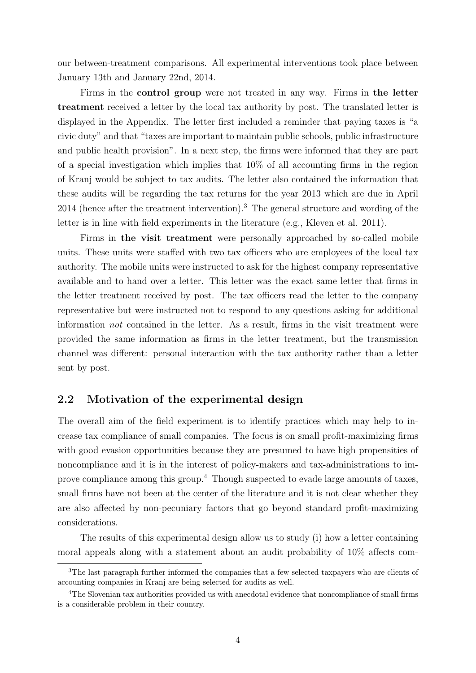our between-treatment comparisons. All experimental interventions took place between January 13th and January 22nd, 2014.

Firms in the control group were not treated in any way. Firms in the letter treatment received a letter by the local tax authority by post. The translated letter is displayed in the Appendix. The letter first included a reminder that paying taxes is "a civic duty" and that "taxes are important to maintain public schools, public infrastructure and public health provision". In a next step, the firms were informed that they are part of a special investigation which implies that 10% of all accounting firms in the region of Kranj would be subject to tax audits. The letter also contained the information that these audits will be regarding the tax returns for the year 2013 which are due in April 2014 (hence after the treatment intervention).[3](#page-6-0) The general structure and wording of the letter is in line with field experiments in the literature (e.g., [Kleven et al. 2011\)](#page-20-0).

Firms in the visit treatment were personally approached by so-called mobile units. These units were staffed with two tax officers who are employees of the local tax authority. The mobile units were instructed to ask for the highest company representative available and to hand over a letter. This letter was the exact same letter that firms in the letter treatment received by post. The tax officers read the letter to the company representative but were instructed not to respond to any questions asking for additional information not contained in the letter. As a result, firms in the visit treatment were provided the same information as firms in the letter treatment, but the transmission channel was different: personal interaction with the tax authority rather than a letter sent by post.

#### 2.2 Motivation of the experimental design

The overall aim of the field experiment is to identify practices which may help to increase tax compliance of small companies. The focus is on small profit-maximizing firms with good evasion opportunities because they are presumed to have high propensities of noncompliance and it is in the interest of policy-makers and tax-administrations to improve compliance among this group.[4](#page-6-1) Though suspected to evade large amounts of taxes, small firms have not been at the center of the literature and it is not clear whether they are also affected by non-pecuniary factors that go beyond standard profit-maximizing considerations.

The results of this experimental design allow us to study (i) how a letter containing moral appeals along with a statement about an audit probability of 10% affects com-

<span id="page-6-0"></span><sup>&</sup>lt;sup>3</sup>The last paragraph further informed the companies that a few selected taxpayers who are clients of accounting companies in Kranj are being selected for audits as well.

<span id="page-6-1"></span><sup>&</sup>lt;sup>4</sup>The Slovenian tax authorities provided us with anecdotal evidence that noncompliance of small firms is a considerable problem in their country.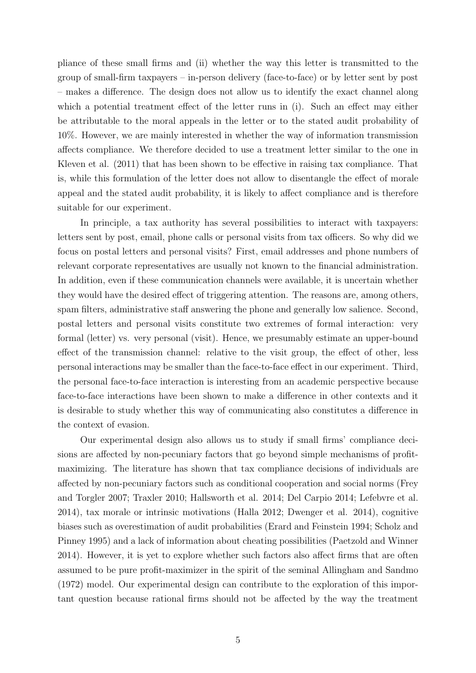pliance of these small firms and (ii) whether the way this letter is transmitted to the group of small-firm taxpayers – in-person delivery (face-to-face) or by letter sent by post – makes a difference. The design does not allow us to identify the exact channel along which a potential treatment effect of the letter runs in (i). Such an effect may either be attributable to the moral appeals in the letter or to the stated audit probability of 10%. However, we are mainly interested in whether the way of information transmission affects compliance. We therefore decided to use a treatment letter similar to the one in [Kleven et al. \(2011\)](#page-20-0) that has been shown to be effective in raising tax compliance. That is, while this formulation of the letter does not allow to disentangle the effect of morale appeal and the stated audit probability, it is likely to affect compliance and is therefore suitable for our experiment.

In principle, a tax authority has several possibilities to interact with taxpayers: letters sent by post, email, phone calls or personal visits from tax officers. So why did we focus on postal letters and personal visits? First, email addresses and phone numbers of relevant corporate representatives are usually not known to the financial administration. In addition, even if these communication channels were available, it is uncertain whether they would have the desired effect of triggering attention. The reasons are, among others, spam filters, administrative staff answering the phone and generally low salience. Second, postal letters and personal visits constitute two extremes of formal interaction: very formal (letter) vs. very personal (visit). Hence, we presumably estimate an upper-bound effect of the transmission channel: relative to the visit group, the effect of other, less personal interactions may be smaller than the face-to-face effect in our experiment. Third, the personal face-to-face interaction is interesting from an academic perspective because face-to-face interactions have been shown to make a difference in other contexts and it is desirable to study whether this way of communicating also constitutes a difference in the context of evasion.

Our experimental design also allows us to study if small firms' compliance decisions are affected by non-pecuniary factors that go beyond simple mechanisms of profitmaximizing. The literature has shown that tax compliance decisions of individuals are affected by non-pecuniary factors such as conditional cooperation and social norms [\(Frey](#page-20-7) [and Torgler 2007;](#page-20-7) [Traxler 2010;](#page-21-6) [Hallsworth et al. 2014;](#page-20-5) [Del Carpio 2014;](#page-19-0) [Lefebvre et al.](#page-20-8) [2014\)](#page-20-8), tax morale or intrinsic motivations [\(Halla 2012;](#page-20-9) [Dwenger et al. 2014\)](#page-19-1), cognitive biases such as overestimation of audit probabilities [\(Erard and Feinstein 1994;](#page-20-10) [Scholz and](#page-21-7) [Pinney 1995\)](#page-21-7) and a lack of information about cheating possibilities [\(Paetzold and Winner](#page-21-8) [2014\)](#page-21-8). However, it is yet to explore whether such factors also affect firms that are often assumed to be pure profit-maximizer in the spirit of the seminal [Allingham and Sandmo](#page-18-1) [\(1972\)](#page-18-1) model. Our experimental design can contribute to the exploration of this important question because rational firms should not be affected by the way the treatment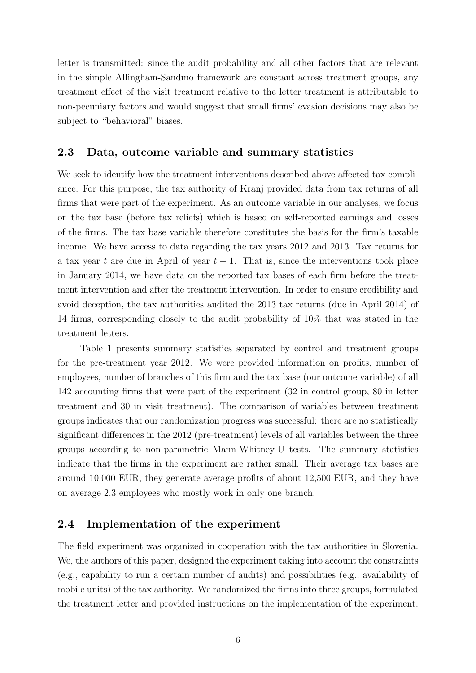letter is transmitted: since the audit probability and all other factors that are relevant in the simple Allingham-Sandmo framework are constant across treatment groups, any treatment effect of the visit treatment relative to the letter treatment is attributable to non-pecuniary factors and would suggest that small firms' evasion decisions may also be subject to "behavioral" biases.

#### 2.3 Data, outcome variable and summary statistics

We seek to identify how the treatment interventions described above affected tax compliance. For this purpose, the tax authority of Kranj provided data from tax returns of all firms that were part of the experiment. As an outcome variable in our analyses, we focus on the tax base (before tax reliefs) which is based on self-reported earnings and losses of the firms. The tax base variable therefore constitutes the basis for the firm's taxable income. We have access to data regarding the tax years 2012 and 2013. Tax returns for a tax year t are due in April of year  $t + 1$ . That is, since the interventions took place in January 2014, we have data on the reported tax bases of each firm before the treatment intervention and after the treatment intervention. In order to ensure credibility and avoid deception, the tax authorities audited the 2013 tax returns (due in April 2014) of 14 firms, corresponding closely to the audit probability of 10% that was stated in the treatment letters.

Table [1](#page-9-1) presents summary statistics separated by control and treatment groups for the pre-treatment year 2012. We were provided information on profits, number of employees, number of branches of this firm and the tax base (our outcome variable) of all 142 accounting firms that were part of the experiment (32 in control group, 80 in letter treatment and 30 in visit treatment). The comparison of variables between treatment groups indicates that our randomization progress was successful: there are no statistically significant differences in the 2012 (pre-treatment) levels of all variables between the three groups according to non-parametric Mann-Whitney-U tests. The summary statistics indicate that the firms in the experiment are rather small. Their average tax bases are around 10,000 EUR, they generate average profits of about 12,500 EUR, and they have on average 2.3 employees who mostly work in only one branch.

#### 2.4 Implementation of the experiment

The field experiment was organized in cooperation with the tax authorities in Slovenia. We, the authors of this paper, designed the experiment taking into account the constraints (e.g., capability to run a certain number of audits) and possibilities (e.g., availability of mobile units) of the tax authority. We randomized the firms into three groups, formulated the treatment letter and provided instructions on the implementation of the experiment.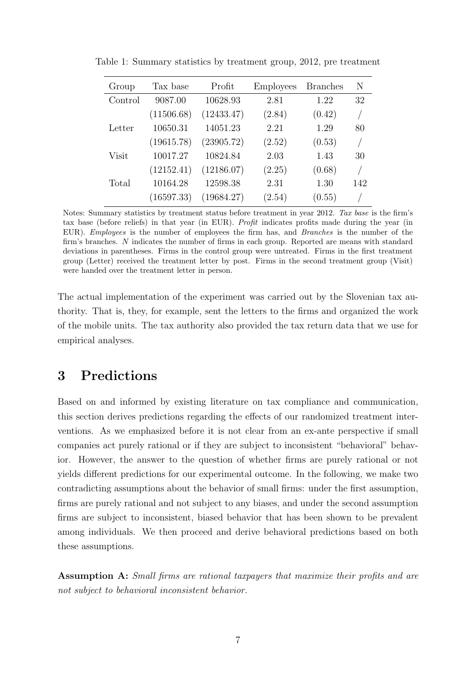| Group   | Tax base   | Profit     | <b>Employees</b> | <b>Branches</b> | N   |
|---------|------------|------------|------------------|-----------------|-----|
| Control | 9087.00    | 10628.93   | 2.81             | 1.22            | 32  |
|         | (11506.68) | (12433.47) | (2.84)           | (0.42)          |     |
| Letter  | 10650.31   | 14051.23   | 2.21             | 1.29            | 80  |
|         | (19615.78) | (23905.72) | (2.52)           | (0.53)          |     |
| Visit   | 10017.27   | 10824.84   | 2.03             | 1.43            | 30  |
|         | (12152.41) | (12186.07) | (2.25)           | (0.68)          |     |
| Total   | 10164.28   | 12598.38   | 2.31             | 1.30            | 142 |
|         | (16597.33) | (19684.27) | (2.54)           | (0.55)          |     |

<span id="page-9-1"></span>Table 1: Summary statistics by treatment group, 2012, pre treatment

Notes: Summary statistics by treatment status before treatment in year 2012. Tax base is the firm's tax base (before reliefs) in that year (in EUR). Profit indicates profits made during the year (in EUR). *Employees* is the number of employees the firm has, and *Branches* is the number of the firm's branches. N indicates the number of firms in each group. Reported are means with standard deviations in parentheses. Firms in the control group were untreated. Firms in the first treatment group (Letter) received the treatment letter by post. Firms in the second treatment group (Visit) were handed over the treatment letter in person.

The actual implementation of the experiment was carried out by the Slovenian tax authority. That is, they, for example, sent the letters to the firms and organized the work of the mobile units. The tax authority also provided the tax return data that we use for empirical analyses.

### <span id="page-9-0"></span>3 Predictions

Based on and informed by existing literature on tax compliance and communication, this section derives predictions regarding the effects of our randomized treatment interventions. As we emphasized before it is not clear from an ex-ante perspective if small companies act purely rational or if they are subject to inconsistent "behavioral" behavior. However, the answer to the question of whether firms are purely rational or not yields different predictions for our experimental outcome. In the following, we make two contradicting assumptions about the behavior of small firms: under the first assumption, firms are purely rational and not subject to any biases, and under the second assumption firms are subject to inconsistent, biased behavior that has been shown to be prevalent among individuals. We then proceed and derive behavioral predictions based on both these assumptions.

Assumption A: Small firms are rational taxpayers that maximize their profits and are not subject to behavioral inconsistent behavior.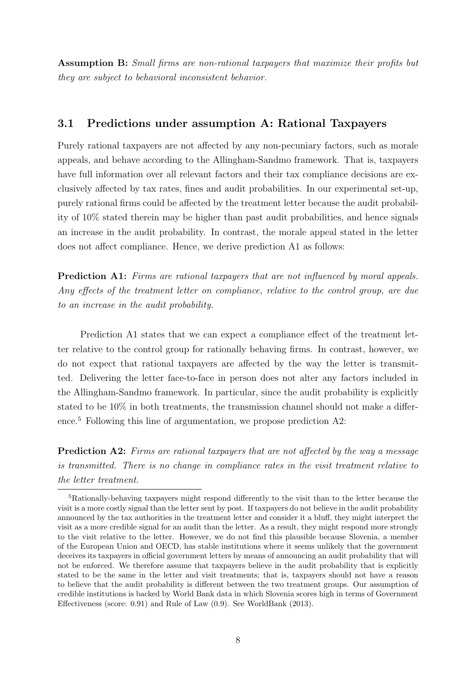Assumption B: Small firms are non-rational taxpayers that maximize their profits but they are subject to behavioral inconsistent behavior.

#### 3.1 Predictions under assumption A: Rational Taxpayers

Purely rational taxpayers are not affected by any non-pecuniary factors, such as morale appeals, and behave according to the Allingham-Sandmo framework. That is, taxpayers have full information over all relevant factors and their tax compliance decisions are exclusively affected by tax rates, fines and audit probabilities. In our experimental set-up, purely rational firms could be affected by the treatment letter because the audit probability of 10% stated therein may be higher than past audit probabilities, and hence signals an increase in the audit probability. In contrast, the morale appeal stated in the letter does not affect compliance. Hence, we derive prediction A1 as follows:

Prediction A1: Firms are rational taxpayers that are not influenced by moral appeals. Any effects of the treatment letter on compliance, relative to the control group, are due to an increase in the audit probability.

Prediction A1 states that we can expect a compliance effect of the treatment letter relative to the control group for rationally behaving firms. In contrast, however, we do not expect that rational taxpayers are affected by the way the letter is transmitted. Delivering the letter face-to-face in person does not alter any factors included in the Allingham-Sandmo framework. In particular, since the audit probability is explicitly stated to be 10% in both treatments, the transmission channel should not make a difference.[5](#page-10-0) Following this line of argumentation, we propose prediction A2:

**Prediction A2:** Firms are rational taxpayers that are not affected by the way a message is transmitted. There is no change in compliance rates in the visit treatment relative to the letter treatment.

<span id="page-10-0"></span><sup>5</sup>Rationally-behaving taxpayers might respond differently to the visit than to the letter because the visit is a more costly signal than the letter sent by post. If taxpayers do not believe in the audit probability announced by the tax authorities in the treatment letter and consider it a bluff, they might interpret the visit as a more credible signal for an audit than the letter. As a result, they might respond more strongly to the visit relative to the letter. However, we do not find this plausible because Slovenia, a member of the European Union and OECD, has stable institutions where it seems unlikely that the government deceives its taxpayers in official government letters by means of announcing an audit probability that will not be enforced. We therefore assume that taxpayers believe in the audit probability that is explicitly stated to be the same in the letter and visit treatments; that is, taxpayers should not have a reason to believe that the audit probability is different between the two treatment groups. Our assumption of credible institutions is backed by World Bank data in which Slovenia scores high in terms of Government Effectiveness (score: 0.91) and Rule of Law (0.9). See [WorldBank \(2013\).](#page-21-9)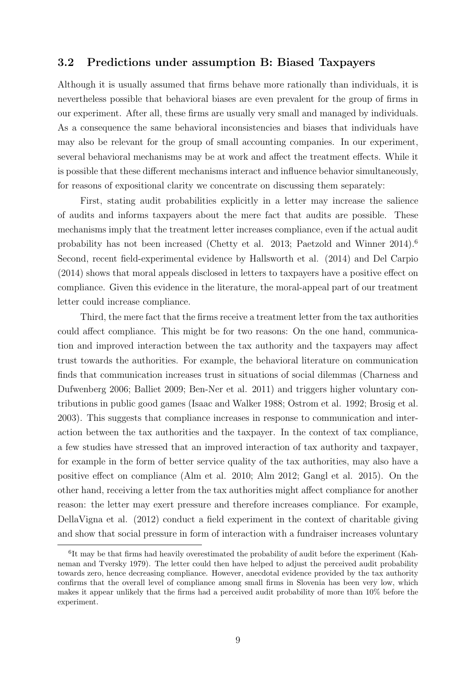#### 3.2 Predictions under assumption B: Biased Taxpayers

Although it is usually assumed that firms behave more rationally than individuals, it is nevertheless possible that behavioral biases are even prevalent for the group of firms in our experiment. After all, these firms are usually very small and managed by individuals. As a consequence the same behavioral inconsistencies and biases that individuals have may also be relevant for the group of small accounting companies. In our experiment, several behavioral mechanisms may be at work and affect the treatment effects. While it is possible that these different mechanisms interact and influence behavior simultaneously, for reasons of expositional clarity we concentrate on discussing them separately:

First, stating audit probabilities explicitly in a letter may increase the salience of audits and informs taxpayers about the mere fact that audits are possible. These mechanisms imply that the treatment letter increases compliance, even if the actual audit probability has not been increased [\(Chetty et al. 2013;](#page-19-8) Paetzold and Winner  $2014$ ).<sup>[6](#page-11-0)</sup> Second, recent field-experimental evidence by [Hallsworth et al. \(2014\)](#page-20-5) and [Del Carpio](#page-19-0) [\(2014\)](#page-19-0) shows that moral appeals disclosed in letters to taxpayers have a positive effect on compliance. Given this evidence in the literature, the moral-appeal part of our treatment letter could increase compliance.

Third, the mere fact that the firms receive a treatment letter from the tax authorities could affect compliance. This might be for two reasons: On the one hand, communication and improved interaction between the tax authority and the taxpayers may affect trust towards the authorities. For example, the behavioral literature on communication finds that communication increases trust in situations of social dilemmas [\(Charness and](#page-19-9) [Dufwenberg 2006;](#page-19-9) [Balliet 2009;](#page-19-7) [Ben-Ner et al. 2011\)](#page-19-10) and triggers higher voluntary contributions in public good games [\(Isaac and Walker 1988;](#page-20-11) [Ostrom et al. 1992;](#page-21-10) [Brosig et al.](#page-19-11) [2003\)](#page-19-11). This suggests that compliance increases in response to communication and interaction between the tax authorities and the taxpayer. In the context of tax compliance, a few studies have stressed that an improved interaction of tax authority and taxpayer, for example in the form of better service quality of the tax authorities, may also have a positive effect on compliance [\(Alm et al. 2010;](#page-19-3) [Alm 2012;](#page-18-0) [Gangl et al. 2015\)](#page-20-6). On the other hand, receiving a letter from the tax authorities might affect compliance for another reason: the letter may exert pressure and therefore increases compliance. For example, [DellaVigna et al. \(2012\)](#page-19-12) conduct a field experiment in the context of charitable giving and show that social pressure in form of interaction with a fundraiser increases voluntary

<span id="page-11-0"></span><sup>&</sup>lt;sup>6</sup>It may be that firms had heavily overestimated the probability of audit before the experiment [\(Kah](#page-20-12)[neman and Tversky 1979\)](#page-20-12). The letter could then have helped to adjust the perceived audit probability towards zero, hence decreasing compliance. However, anecdotal evidence provided by the tax authority confirms that the overall level of compliance among small firms in Slovenia has been very low, which makes it appear unlikely that the firms had a perceived audit probability of more than 10% before the experiment.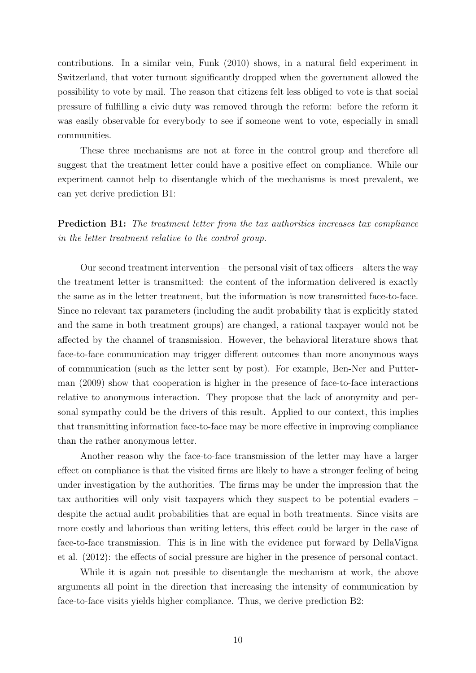contributions. In a similar vein, [Funk \(2010\)](#page-20-13) shows, in a natural field experiment in Switzerland, that voter turnout significantly dropped when the government allowed the possibility to vote by mail. The reason that citizens felt less obliged to vote is that social pressure of fulfilling a civic duty was removed through the reform: before the reform it was easily observable for everybody to see if someone went to vote, especially in small communities.

These three mechanisms are not at force in the control group and therefore all suggest that the treatment letter could have a positive effect on compliance. While our experiment cannot help to disentangle which of the mechanisms is most prevalent, we can yet derive prediction B1:

Prediction B1: The treatment letter from the tax authorities increases tax compliance in the letter treatment relative to the control group.

Our second treatment intervention – the personal visit of tax officers – alters the way the treatment letter is transmitted: the content of the information delivered is exactly the same as in the letter treatment, but the information is now transmitted face-to-face. Since no relevant tax parameters (including the audit probability that is explicitly stated and the same in both treatment groups) are changed, a rational taxpayer would not be affected by the channel of transmission. However, the behavioral literature shows that face-to-face communication may trigger different outcomes than more anonymous ways of communication (such as the letter sent by post). For example, [Ben-Ner and Putter](#page-19-6)[man \(2009\)](#page-19-6) show that cooperation is higher in the presence of face-to-face interactions relative to anonymous interaction. They propose that the lack of anonymity and personal sympathy could be the drivers of this result. Applied to our context, this implies that transmitting information face-to-face may be more effective in improving compliance than the rather anonymous letter.

Another reason why the face-to-face transmission of the letter may have a larger effect on compliance is that the visited firms are likely to have a stronger feeling of being under investigation by the authorities. The firms may be under the impression that the tax authorities will only visit taxpayers which they suspect to be potential evaders – despite the actual audit probabilities that are equal in both treatments. Since visits are more costly and laborious than writing letters, this effect could be larger in the case of face-to-face transmission. This is in line with the evidence put forward by [DellaVigna](#page-19-12) [et al. \(2012\):](#page-19-12) the effects of social pressure are higher in the presence of personal contact.

While it is again not possible to disentangle the mechanism at work, the above arguments all point in the direction that increasing the intensity of communication by face-to-face visits yields higher compliance. Thus, we derive prediction B2: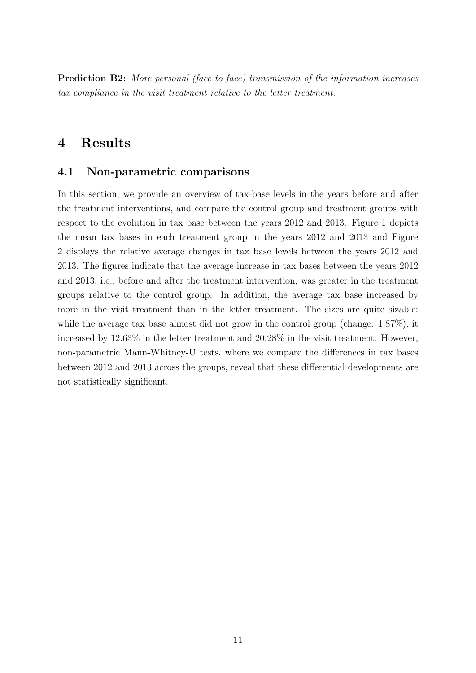Prediction B2: More personal (face-to-face) transmission of the information increases tax compliance in the visit treatment relative to the letter treatment.

### <span id="page-13-0"></span>4 Results

#### 4.1 Non-parametric comparisons

In this section, we provide an overview of tax-base levels in the years before and after the treatment interventions, and compare the control group and treatment groups with respect to the evolution in tax base between the years 2012 and 2013. Figure [1](#page-14-0) depicts the mean tax bases in each treatment group in the years 2012 and 2013 and Figure [2](#page-14-1) displays the relative average changes in tax base levels between the years 2012 and 2013. The figures indicate that the average increase in tax bases between the years 2012 and 2013, i.e., before and after the treatment intervention, was greater in the treatment groups relative to the control group. In addition, the average tax base increased by more in the visit treatment than in the letter treatment. The sizes are quite sizable: while the average tax base almost did not grow in the control group (change: 1.87%), it increased by 12.63% in the letter treatment and 20.28% in the visit treatment. However, non-parametric Mann-Whitney-U tests, where we compare the differences in tax bases between 2012 and 2013 across the groups, reveal that these differential developments are not statistically significant.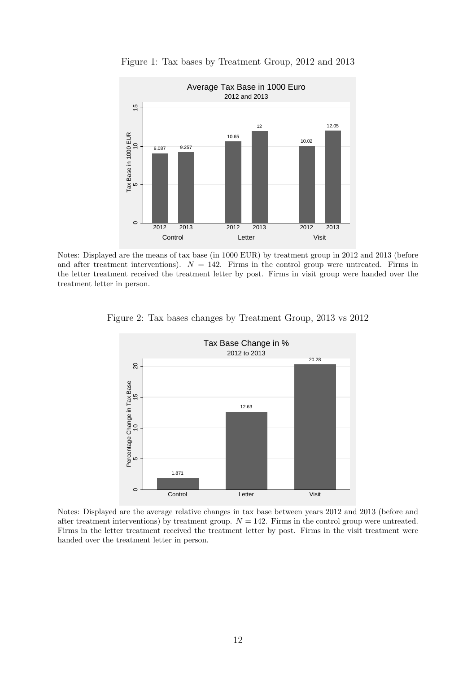<span id="page-14-0"></span>

Figure 1: Tax bases by Treatment Group, 2012 and 2013

Notes: Displayed are the means of tax base (in 1000 EUR) by treatment group in 2012 and 2013 (before and after treatment interventions).  $N = 142$ . Firms in the control group were untreated. Firms in the letter treatment received the treatment letter by post. Firms in visit group were handed over the treatment letter in person.



<span id="page-14-1"></span>Figure 2: Tax bases changes by Treatment Group, 2013 vs 2012

Notes: Displayed are the average relative changes in tax base between years 2012 and 2013 (before and after treatment interventions) by treatment group.  $N = 142$ . Firms in the control group were untreated. Firms in the letter treatment received the treatment letter by post. Firms in the visit treatment were handed over the treatment letter in person.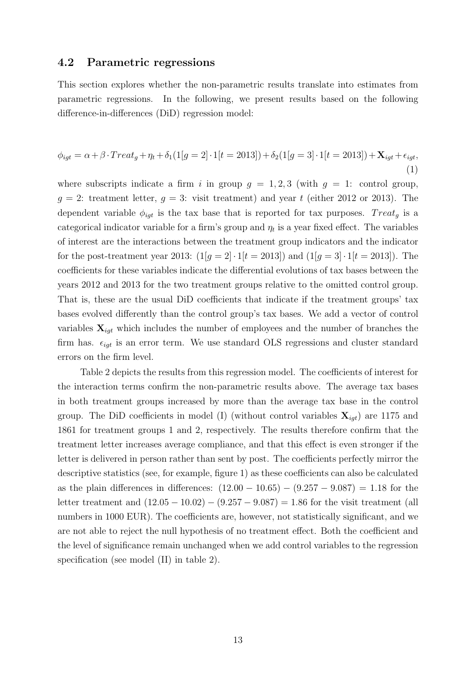#### 4.2 Parametric regressions

This section explores whether the non-parametric results translate into estimates from parametric regressions. In the following, we present results based on the following difference-in-differences (DiD) regression model:

<span id="page-15-0"></span>
$$
\phi_{igt} = \alpha + \beta \cdot Treat_g + \eta_t + \delta_1(1[g = 2] \cdot 1[t = 2013]) + \delta_2(1[g = 3] \cdot 1[t = 2013]) + \mathbf{X}_{igt} + \epsilon_{igt},
$$
\n(1)

where subscripts indicate a firm i in group  $g = 1, 2, 3$  (with  $g = 1$ : control group,  $g = 2$ : treatment letter,  $g = 3$ : visit treatment) and year t (either 2012 or 2013). The dependent variable  $\phi_{igt}$  is the tax base that is reported for tax purposes. Treat<sub>g</sub> is a categorical indicator variable for a firm's group and  $\eta_t$  is a year fixed effect. The variables of interest are the interactions between the treatment group indicators and the indicator for the post-treatment year 2013:  $(1|g = 2] \cdot 1[t = 2013]$  and  $(1|g = 3] \cdot 1[t = 2013]$ . The coefficients for these variables indicate the differential evolutions of tax bases between the years 2012 and 2013 for the two treatment groups relative to the omitted control group. That is, these are the usual DiD coefficients that indicate if the treatment groups' tax bases evolved differently than the control group's tax bases. We add a vector of control variables  $\mathbf{X}_{igt}$  which includes the number of employees and the number of branches the firm has.  $\epsilon_{igt}$  is an error term. We use standard OLS regressions and cluster standard errors on the firm level.

Table [2](#page-16-1) depicts the results from this regression model. The coefficients of interest for the interaction terms confirm the non-parametric results above. The average tax bases in both treatment groups increased by more than the average tax base in the control group. The DiD coefficients in model (I) (without control variables  $\mathbf{X}_{iqt}$ ) are 1175 and 1861 for treatment groups 1 and 2, respectively. The results therefore confirm that the treatment letter increases average compliance, and that this effect is even stronger if the letter is delivered in person rather than sent by post. The coefficients perfectly mirror the descriptive statistics (see, for example, figure [1\)](#page-14-0) as these coefficients can also be calculated as the plain differences in differences:  $(12.00 - 10.65) - (9.257 - 9.087) = 1.18$  for the letter treatment and  $(12.05 - 10.02) - (9.257 - 9.087) = 1.86$  for the visit treatment (all numbers in 1000 EUR). The coefficients are, however, not statistically significant, and we are not able to reject the null hypothesis of no treatment effect. Both the coefficient and the level of significance remain unchanged when we add control variables to the regression specification (see model (II) in table [2\)](#page-16-1).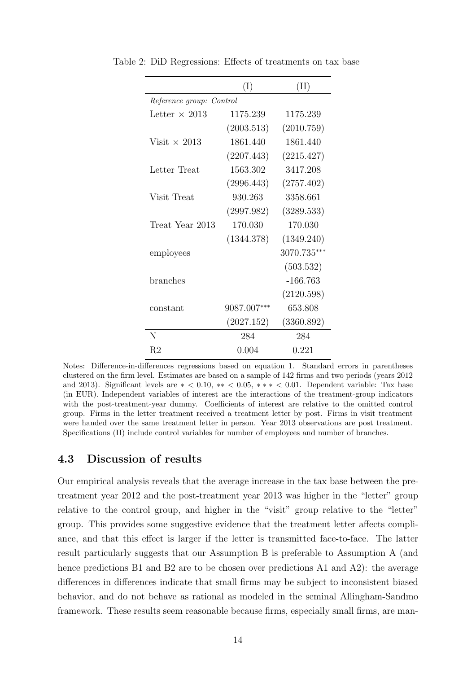|                          | $(\mathrm{I})$ | $(\mathrm{II})$ |  |  |  |
|--------------------------|----------------|-----------------|--|--|--|
| Reference group: Control |                |                 |  |  |  |
| Letter $\times 2013$     | 1175.239       | 1175.239        |  |  |  |
|                          | (2003.513)     | (2010.759)      |  |  |  |
| Visit $\times$ 2013      | 1861.440       | 1861.440        |  |  |  |
|                          | (2207.443)     | (2215.427)      |  |  |  |
| Letter Treat             | 1563.302       | 3417.208        |  |  |  |
|                          | (2996.443)     | (2757.402)      |  |  |  |
| Visit Treat              | 930.263        | 3358.661        |  |  |  |
|                          | (2997.982)     | (3289.533)      |  |  |  |
| Treat Year 2013          | 170.030        | 170.030         |  |  |  |
|                          | (1344.378)     | (1349.240)      |  |  |  |
| employees                |                | 3070.735***     |  |  |  |
|                          |                | (503.532)       |  |  |  |
| branches                 |                | $-166.763$      |  |  |  |
|                          |                | (2120.598)      |  |  |  |
| constant                 | 9087.007***    | 653.808         |  |  |  |
|                          | (2027.152)     | (3360.892)      |  |  |  |
| N                        | 284            | 284             |  |  |  |
| R2                       | 0.004          | 0.221           |  |  |  |

<span id="page-16-1"></span>Table 2: DiD Regressions: Effects of treatments on tax base

Notes: Difference-in-differences regressions based on equation [1.](#page-15-0) Standard errors in parentheses clustered on the firm level. Estimates are based on a sample of 142 firms and two periods (years 2012 and 2013). Significant levels are ∗ < 0.10, ∗∗ < 0.05, ∗ ∗ ∗ < 0.01. Dependent variable: Tax base (in EUR). Independent variables of interest are the interactions of the treatment-group indicators with the post-treatment-year dummy. Coefficients of interest are relative to the omitted control group. Firms in the letter treatment received a treatment letter by post. Firms in visit treatment were handed over the same treatment letter in person. Year 2013 observations are post treatment. Specifications (II) include control variables for number of employees and number of branches.

#### <span id="page-16-0"></span>4.3 Discussion of results

Our empirical analysis reveals that the average increase in the tax base between the pretreatment year 2012 and the post-treatment year 2013 was higher in the "letter" group relative to the control group, and higher in the "visit" group relative to the "letter" group. This provides some suggestive evidence that the treatment letter affects compliance, and that this effect is larger if the letter is transmitted face-to-face. The latter result particularly suggests that our Assumption B is preferable to Assumption A (and hence predictions B1 and B2 are to be chosen over predictions A1 and A2): the average differences in differences indicate that small firms may be subject to inconsistent biased behavior, and do not behave as rational as modeled in the seminal Allingham-Sandmo framework. These results seem reasonable because firms, especially small firms, are man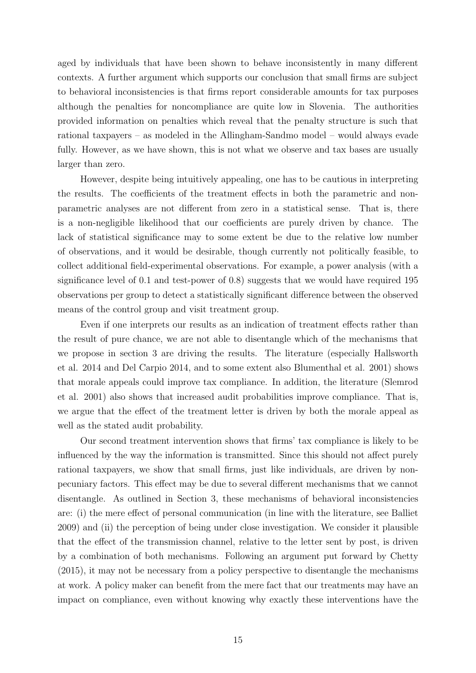aged by individuals that have been shown to behave inconsistently in many different contexts. A further argument which supports our conclusion that small firms are subject to behavioral inconsistencies is that firms report considerable amounts for tax purposes although the penalties for noncompliance are quite low in Slovenia. The authorities provided information on penalties which reveal that the penalty structure is such that rational taxpayers – as modeled in the Allingham-Sandmo model – would always evade fully. However, as we have shown, this is not what we observe and tax bases are usually larger than zero.

However, despite being intuitively appealing, one has to be cautious in interpreting the results. The coefficients of the treatment effects in both the parametric and nonparametric analyses are not different from zero in a statistical sense. That is, there is a non-negligible likelihood that our coefficients are purely driven by chance. The lack of statistical significance may to some extent be due to the relative low number of observations, and it would be desirable, though currently not politically feasible, to collect additional field-experimental observations. For example, a power analysis (with a significance level of 0.1 and test-power of 0.8) suggests that we would have required 195 observations per group to detect a statistically significant difference between the observed means of the control group and visit treatment group.

Even if one interprets our results as an indication of treatment effects rather than the result of pure chance, we are not able to disentangle which of the mechanisms that we propose in section [3](#page-9-0) are driving the results. The literature (especially [Hallsworth](#page-20-5) [et al. 2014](#page-20-5) and [Del Carpio 2014,](#page-19-0) and to some extent also [Blumenthal et al. 2001\)](#page-19-2) shows that morale appeals could improve tax compliance. In addition, the literature [\(Slemrod](#page-21-2) [et al. 2001\)](#page-21-2) also shows that increased audit probabilities improve compliance. That is, we argue that the effect of the treatment letter is driven by both the morale appeal as well as the stated audit probability.

Our second treatment intervention shows that firms' tax compliance is likely to be influenced by the way the information is transmitted. Since this should not affect purely rational taxpayers, we show that small firms, just like individuals, are driven by nonpecuniary factors. This effect may be due to several different mechanisms that we cannot disentangle. As outlined in Section [3,](#page-9-0) these mechanisms of behavioral inconsistencies are: (i) the mere effect of personal communication (in line with the literature, see [Balliet](#page-19-7) [2009\)](#page-19-7) and (ii) the perception of being under close investigation. We consider it plausible that the effect of the transmission channel, relative to the letter sent by post, is driven by a combination of both mechanisms. Following an argument put forward by [Chetty](#page-19-13) [\(2015\),](#page-19-13) it may not be necessary from a policy perspective to disentangle the mechanisms at work. A policy maker can benefit from the mere fact that our treatments may have an impact on compliance, even without knowing why exactly these interventions have the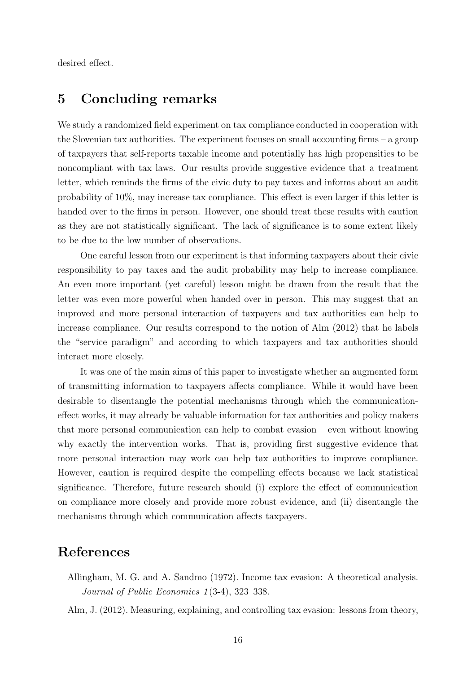desired effect.

### <span id="page-18-2"></span>5 Concluding remarks

We study a randomized field experiment on tax compliance conducted in cooperation with the Slovenian tax authorities. The experiment focuses on small accounting firms – a group of taxpayers that self-reports taxable income and potentially has high propensities to be noncompliant with tax laws. Our results provide suggestive evidence that a treatment letter, which reminds the firms of the civic duty to pay taxes and informs about an audit probability of 10%, may increase tax compliance. This effect is even larger if this letter is handed over to the firms in person. However, one should treat these results with caution as they are not statistically significant. The lack of significance is to some extent likely to be due to the low number of observations.

One careful lesson from our experiment is that informing taxpayers about their civic responsibility to pay taxes and the audit probability may help to increase compliance. An even more important (yet careful) lesson might be drawn from the result that the letter was even more powerful when handed over in person. This may suggest that an improved and more personal interaction of taxpayers and tax authorities can help to increase compliance. Our results correspond to the notion of [Alm \(2012\)](#page-18-0) that he labels the "service paradigm" and according to which taxpayers and tax authorities should interact more closely.

It was one of the main aims of this paper to investigate whether an augmented form of transmitting information to taxpayers affects compliance. While it would have been desirable to disentangle the potential mechanisms through which the communicationeffect works, it may already be valuable information for tax authorities and policy makers that more personal communication can help to combat evasion – even without knowing why exactly the intervention works. That is, providing first suggestive evidence that more personal interaction may work can help tax authorities to improve compliance. However, caution is required despite the compelling effects because we lack statistical significance. Therefore, future research should (i) explore the effect of communication on compliance more closely and provide more robust evidence, and (ii) disentangle the mechanisms through which communication affects taxpayers.

# References

<span id="page-18-1"></span>Allingham, M. G. and A. Sandmo (1972). Income tax evasion: A theoretical analysis. Journal of Public Economics 1 (3-4), 323–338.

<span id="page-18-0"></span>Alm, J. (2012). Measuring, explaining, and controlling tax evasion: lessons from theory,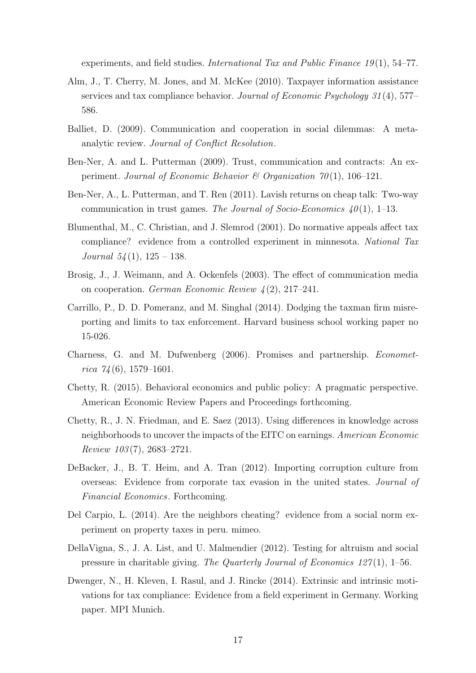experiments, and field studies. International Tax and Public Finance  $19(1)$ , 54–77.

- <span id="page-19-3"></span>Alm, J., T. Cherry, M. Jones, and M. McKee (2010). Taxpayer information assistance services and tax compliance behavior. Journal of Economic Psychology 31 (4), 577– 586.
- <span id="page-19-7"></span>Balliet, D. (2009). Communication and cooperation in social dilemmas: A metaanalytic review. Journal of Conflict Resolution.
- <span id="page-19-6"></span>Ben-Ner, A. and L. Putterman (2009). Trust, communication and contracts: An experiment. Journal of Economic Behavior & Organization  $\mathcal{70}(1)$ , 106–121.
- <span id="page-19-10"></span>Ben-Ner, A., L. Putterman, and T. Ren (2011). Lavish returns on cheap talk: Two-way communication in trust games. The Journal of Socio-Economics  $40(1)$ , 1–13.
- <span id="page-19-2"></span>Blumenthal, M., C. Christian, and J. Slemrod (2001). Do normative appeals affect tax compliance? evidence from a controlled experiment in minnesota. National Tax Journal  $54(1)$ ,  $125 - 138$ .
- <span id="page-19-11"></span>Brosig, J., J. Weimann, and A. Ockenfels (2003). The effect of communication media on cooperation. German Economic Review  $\frac{1}{2}$ , 217–241.
- <span id="page-19-5"></span>Carrillo, P., D. D. Pomeranz, and M. Singhal (2014). Dodging the taxman firm misreporting and limits to tax enforcement. Harvard business school working paper no 15-026.
- <span id="page-19-9"></span>Charness, G. and M. Dufwenberg (2006). Promises and partnership. Econometrica  $74(6)$ , 1579-1601.
- <span id="page-19-13"></span>Chetty, R. (2015). Behavioral economics and public policy: A pragmatic perspective. American Economic Review Papers and Proceedings forthcoming.
- <span id="page-19-8"></span>Chetty, R., J. N. Friedman, and E. Saez (2013). Using differences in knowledge across neighborhoods to uncover the impacts of the EITC on earnings. American Economic Review  $103(7)$ , 2683-2721.
- <span id="page-19-4"></span>DeBacker, J., B. T. Heim, and A. Tran (2012). Importing corruption culture from overseas: Evidence from corporate tax evasion in the united states. Journal of Financial Economics. Forthcoming.
- <span id="page-19-0"></span>Del Carpio, L. (2014). Are the neighbors cheating? evidence from a social norm experiment on property taxes in peru. mimeo.
- <span id="page-19-12"></span>DellaVigna, S., J. A. List, and U. Malmendier (2012). Testing for altruism and social pressure in charitable giving. The Quarterly Journal of Economics  $127(1)$ , 1–56.
- <span id="page-19-1"></span>Dwenger, N., H. Kleven, I. Rasul, and J. Rincke (2014). Extrinsic and intrinsic motivations for tax compliance: Evidence from a field experiment in Germany. Working paper. MPI Munich.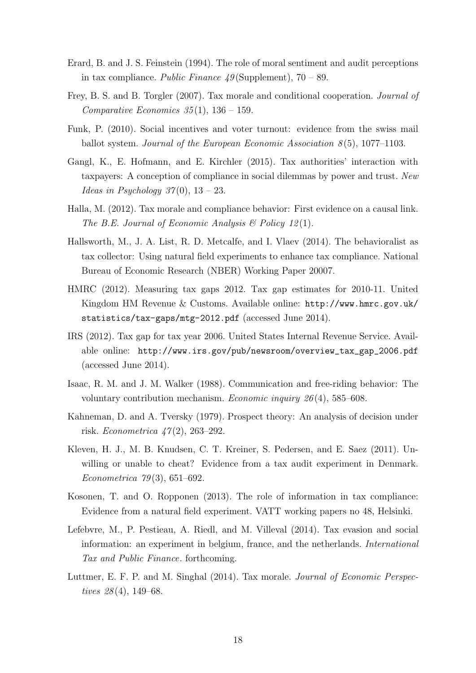- <span id="page-20-10"></span>Erard, B. and J. S. Feinstein (1994). The role of moral sentiment and audit perceptions in tax compliance. Public Finance  $49$  (Supplement), 70 – 89.
- <span id="page-20-7"></span>Frey, B. S. and B. Torgler (2007). Tax morale and conditional cooperation. Journal of Comparative Economics  $35(1)$ ,  $136 - 159$ .
- <span id="page-20-13"></span>Funk, P. (2010). Social incentives and voter turnout: evidence from the swiss mail ballot system. Journal of the European Economic Association  $8(5)$ , 1077–1103.
- <span id="page-20-6"></span>Gangl, K., E. Hofmann, and E. Kirchler (2015). Tax authorities' interaction with taxpayers: A conception of compliance in social dilemmas by power and trust. New Ideas in Psychology  $37(0)$ ,  $13-23$ .
- <span id="page-20-9"></span>Halla, M. (2012). Tax morale and compliance behavior: First evidence on a causal link. The B.E. Journal of Economic Analysis  $\mathcal{B}$  Policy 12(1).
- <span id="page-20-5"></span>Hallsworth, M., J. A. List, R. D. Metcalfe, and I. Vlaev (2014). The behavioralist as tax collector: Using natural field experiments to enhance tax compliance. National Bureau of Economic Research (NBER) Working Paper 20007.
- <span id="page-20-3"></span>HMRC (2012). Measuring tax gaps 2012. Tax gap estimates for 2010-11. United Kingdom HM Revenue & Customs. Available online: [http://www.hmrc.gov.uk/](http://www.hmrc.gov.uk/statistics/tax-gaps/mtg-2012.pdf) [statistics/tax-gaps/mtg-2012.pdf](http://www.hmrc.gov.uk/statistics/tax-gaps/mtg-2012.pdf) (accessed June 2014).
- <span id="page-20-2"></span>IRS (2012). Tax gap for tax year 2006. United States Internal Revenue Service. Available online: [http://www.irs.gov/pub/newsroom/overview\\_tax\\_gap\\_2006.pdf](http://www.irs.gov/pub/newsroom/overview_tax_gap_2006.pdf) (accessed June 2014).
- <span id="page-20-11"></span>Isaac, R. M. and J. M. Walker (1988). Communication and free-riding behavior: The voluntary contribution mechanism. Economic inquiry 26 (4), 585–608.
- <span id="page-20-12"></span>Kahneman, D. and A. Tversky (1979). Prospect theory: An analysis of decision under risk. Econometrica  $47(2)$ , 263–292.
- <span id="page-20-0"></span>Kleven, H. J., M. B. Knudsen, C. T. Kreiner, S. Pedersen, and E. Saez (2011). Unwilling or unable to cheat? Evidence from a tax audit experiment in Denmark. Econometrica  $79(3)$ , 651–692.
- <span id="page-20-4"></span>Kosonen, T. and O. Ropponen (2013). The role of information in tax compliance: Evidence from a natural field experiment. VATT working papers no 48, Helsinki.
- <span id="page-20-8"></span>Lefebvre, M., P. Pestieau, A. Riedl, and M. Villeval (2014). Tax evasion and social information: an experiment in belgium, france, and the netherlands. International Tax and Public Finance. forthcoming.
- <span id="page-20-1"></span>Luttmer, E. F. P. and M. Singhal (2014). Tax morale. *Journal of Economic Perspec*tives  $28(4)$ , 149–68.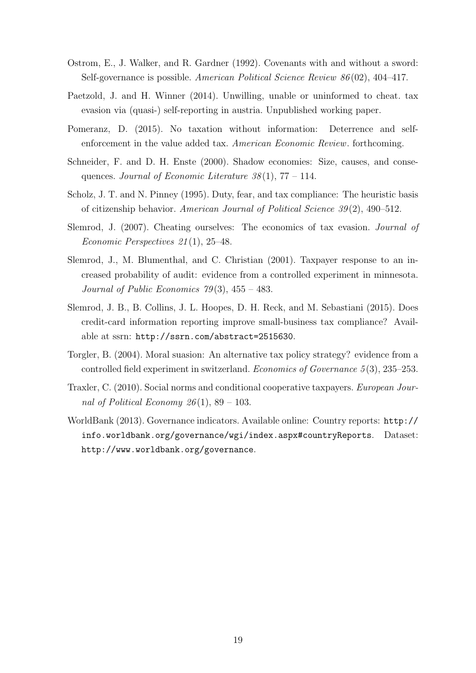- <span id="page-21-10"></span>Ostrom, E., J. Walker, and R. Gardner (1992). Covenants with and without a sword: Self-governance is possible. American Political Science Review 86 (02), 404–417.
- <span id="page-21-8"></span>Paetzold, J. and H. Winner (2014). Unwilling, unable or uninformed to cheat. tax evasion via (quasi-) self-reporting in austria. Unpublished working paper.
- <span id="page-21-3"></span>Pomeranz, D. (2015). No taxation without information: Deterrence and selfenforcement in the value added tax. American Economic Review. forthcoming.
- <span id="page-21-1"></span>Schneider, F. and D. H. Enste (2000). Shadow economies: Size, causes, and consequences. Journal of Economic Literature  $38(1)$ ,  $77-114$ .
- <span id="page-21-7"></span>Scholz, J. T. and N. Pinney (1995). Duty, fear, and tax compliance: The heuristic basis of citizenship behavior. American Journal of Political Science 39 (2), 490–512.
- <span id="page-21-0"></span>Slemrod, J. (2007). Cheating ourselves: The economics of tax evasion. Journal of Economic Perspectives 21 (1), 25–48.
- <span id="page-21-2"></span>Slemrod, J., M. Blumenthal, and C. Christian (2001). Taxpayer response to an increased probability of audit: evidence from a controlled experiment in minnesota. Journal of Public Economics  $79(3)$ ,  $455 - 483$ .
- <span id="page-21-5"></span>Slemrod, J. B., B. Collins, J. L. Hoopes, D. H. Reck, and M. Sebastiani (2015). Does credit-card information reporting improve small-business tax compliance? Available at ssrn: <http://ssrn.com/abstract=2515630>.
- <span id="page-21-4"></span>Torgler, B. (2004). Moral suasion: An alternative tax policy strategy? evidence from a controlled field experiment in switzerland. Economics of Governance 5(3), 235-253.
- <span id="page-21-6"></span>Traxler, C. (2010). Social norms and conditional cooperative taxpayers. European Journal of Political Economy  $26(1)$ , 89 – 103.
- <span id="page-21-9"></span>WorldBank (2013). Governance indicators. Available online: Country reports: [http://](http://info.worldbank.org/governance/wgi/index.aspx#countryReports) [info.worldbank.org/governance/wgi/index.aspx#countryReports](http://info.worldbank.org/governance/wgi/index.aspx#countryReports). Dataset: <http://www.worldbank.org/governance>.